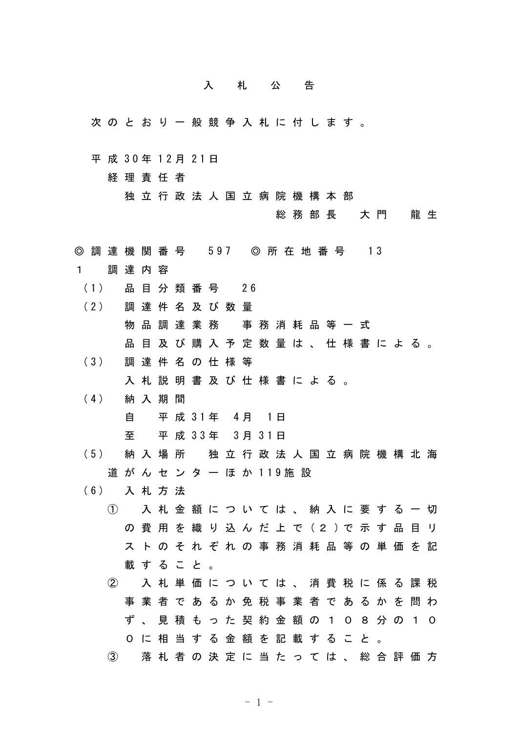## 入 札 公 告

次 の と お り 一 般 競 争 入 札 に 付 し ま す 。

平 成 30年 12月 21日

経 理 責 任 者

独 立 行 政 法 人 国 立 病 院 機 構 本 部

総 務 部 長 大 門 龍 生

- ◎ 調 達 機 関 番 号 597 ◎ 所 在 地 番 号 13
- 1 調 達 内 容
- ( 1 ) 品 目 分 類 番 号 2 6
- ( 2 ) 調 達 件 名 及 び 数 量
	- 物 品 調 達 業 務 事 務 消 耗 品 等 一 式
	- 品 目 及 び 購 入 予 定 数 量 は 、 仕 様 書 に よ る 。
- ( 3 ) 調 達 件 名 の 仕 様 等

入 札 説 明 書 及 び 仕 様 書 に よ る 。

( 4 ) 納 入 期 間

自 平 成 3 1 年 4 月 1 日

至 平 成 3 3 年 3 月 3 1 日

- ( 5 ) 納 入 場 所 独 立 行 政 法 人 国 立 病 院 機 構 北 海 道 が ん セ ン タ ー ほ か 119 施 設
- ( 6 ) 入 札 方 法
	- ① 入 札 金 額 に つ い て は 、 納 入 に 要 す る 一 切 の 費 用 を 織 り 込 ん だ 上 で ( 2 ) で 示 す 品 目 リ ス ト の そ れ ぞ れ の 事 務 消 耗 品 等 の 単 価 を 記 載 す る こ と 。
	- ② 入 札 単 価 に つ い て は 、 消 費 税 に 係 る 課 税 事 業 者 で あ る か 免 税 事 業 者 で あ る か を 問 わ ず 、 見 積 も っ た 契 約 金 額 の 1 0 8 分 の 1 0 0 に 相 当 す る 金 額 を 記 載 す る こ と 。
	- ③ 落 札 者 の 決 定 に 当 た っ て は 、 総 合 評 価 方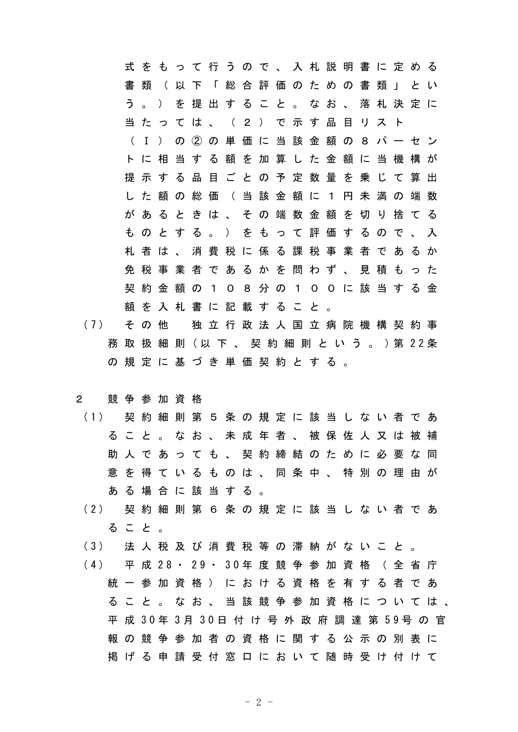式 を も っ て 行 う の で 、 入 札 説 明 書 に 定 め る 書 類 ( 以 下 「 総 合 評 価 の た め の 書 類 」 と い う 。 ) を 提 出 す る こ と 。 な お 、 落 札 決 定 に 当 た っ て は 、 ( 2 ) で 示 す 品 目 リ ス ト ( Ⅰ ) の ② の 単 価 に 当 該 金 額 の 8 パ ー セ ン ト に 相 当 す る 額 を 加 算 し た 金 額 に 当 機 構 が 提 示 す る 品 目 ご と の 予 定 数 量 を 乗 じ て 算 出 し た 額 の 総 価 ( 当 該 金 額 に 1 円 未 満 の 端 数 が あ る と き は 、 そ の 端 数 金 額 を 切 り 捨 て る も の と す る 。 ) を も っ て 評 価 す る の で 、 入 札 者 は 、 消 費 税 に 係 る 課 税 事 業 者 で あ る か 免 税 事 業 者 で あ る か を 問 わ ず 、 見 積 も っ た 契 約 金 額 の 1 0 8 分 の 1 0 0 に 該 当 す る 金 額 を 入 札 書 に 記 載 す る こ と 。

(7) その他 独立行政法人国立病院機構契約事 務 取 扱 細 則 ( 以 下 、 契 約 細 則 と い う 。 ) 第 2 2 条 の 規 定 に 基 づ き 単 価 契 約 と す る 。

## 2 競 争 参 加 資 格

- ( 1 ) 契 約 細 則 第 5 条 の 規 定 に 該 当 し な い 者 で あ る こ と 。 な お 、 未 成 年 者 、 被 保 佐 人 又 は 被 補 助 人 で あ っ て も 、 契 約 締 結 の た め に 必 要 な 同 意 を 得 て い る も の は 、 同 条 中 、 特 別 の 理 由 が あ る 場 合 に 該 当 す る 。
- ( 2 ) 契 約 細 則 第 6 条 の 規 定 に 該 当 し な い 者 で あ る こ と 。
- ( 3 ) 法 人 税 及 び 消 費 税 等 の 滞 納 が な い こ と 。
- ( 4 ) 平 成 2 8 ・ 2 9 ・ 3 0 年 度 競 争 参 加 資 格 ( 全 省 庁 統 一 参 加 資 格 ) に お け る 資 格 を 有 す る 者 で あ る こ と 。 な お 、 当 該 競 争 参 加 資 格 に つ い て は 、 平 成 3 0 年 3 月 3 0 日 付 け 号 外 政 府 調 達 第 5 9 号 の 官 報 の 競 争 参 加 者 の 資 格 に 関 す る 公 示 の 別 表 に 掲 げ る 申 請 受 付 窓 口 に お い て 随 時 受 け 付 け て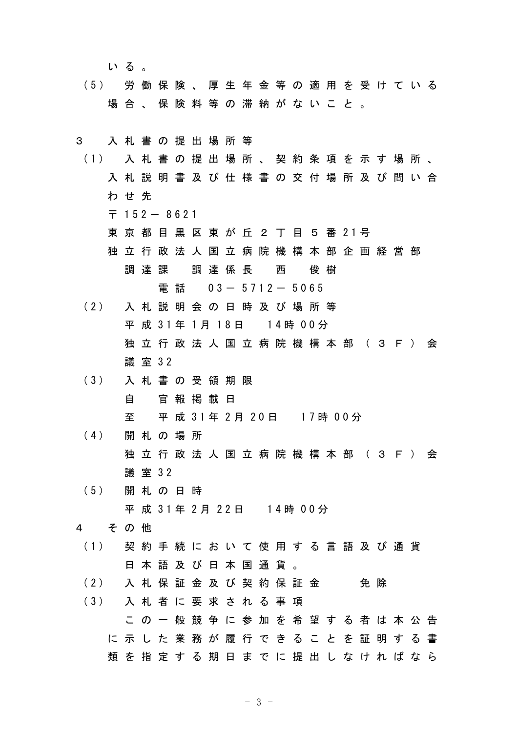いる。

( 5 ) 労 働 保 険 、 厚 生 年 金 等 の 適 用 を 受 け て い る 場 合 、 保 険 料 等 の 滞 納 が な い こ と 。

## 3 入 札 書 の 提 出 場 所 等

- ( 1 ) 入 札 書 の 提 出 場 所 、 契 約 条 項 を 示 す 場 所 、 入 札 説 明 書 及 び 仕 様 書 の 交 付 場 所 及 び 問 い 合 わ せ 先
	- $\overline{7}$  152 8621
	- 東 京 都 目 黒 区 東 が 丘 2 丁 目 5 番 21号
	- 独 立 行 政 法 人 国 立 病 院 機 構 本 部 企 画 経 営 部 調 達 課 調 達 係 長 西 俊 樹

```
電話 0 3 - 5 7 1 2 - 5 0 6 5
```
- ( 2 ) 入 札 説 明 会 の 日 時 及 び 場 所 等 平 成 31年 1月 18日 14時 00分 独 立 行 政 法 人 国 立 病 院 機 構 本 部 ( 3 F ) 会 議 室 3 2
- ( 3 ) 入 札 書 の 受 領 期 限 自 官 報 掲 載 日 至 平 成 31年 2 月 2 0 日 1 7 時 0 0 分
- ( 4 ) 開 札 の 場 所 独 立 行 政 法 人 国 立 病 院 機 構 本 部 ( 3 F ) 会 議 室 3 2
- ( 5 ) 開 札 の 日 時 平 成 31年 2月 22日 14時 00分

## 4 そ の 他

- ( 1 ) 契 約 手 続 に お い て 使 用 す る 言 語 及 び 通 貨 日 本 語 及 び 日 本 国 通 貨 。
- (2) 入 札 保 証 金 及 び 契 約 保 証 金 の 免 除
- ( 3 ) 入 札 者 に 要 求 さ れ る 事 項 こ の 一 般 競 争 に 参 加 を 希 望 す る 者 は 本 公 告 に 示 し た 業 務 が 履 行 で き る こ と を 証 明 す る 書 類 を 指 定 す る 期 日 ま で に 提 出 し な け れ ば な ら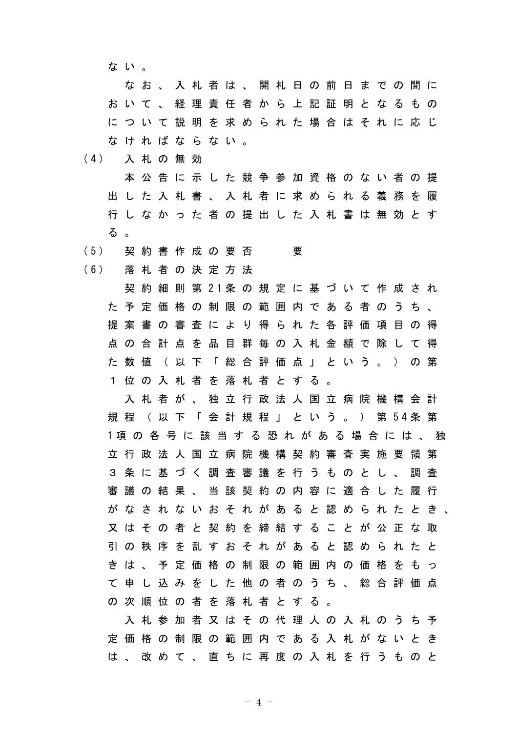な い 。

な お 、 入 札 者 は 、 開 札 日 の 前 日 ま で の 間 に お い て 、 経 理 責 任 者 か ら 上 記 証 明 と な る も の に つ い て 説 明 を 求 め ら れ た 場 合 は そ れ に 応 じ な け れ ば な ら な い 。

- ( 4 ) 入 札 の 無 効
	- 本 公 告 に 示 し た 競 争 参 加 資 格 の な い 者 の 提 出 し た 入 札 書 、 入 札 者 に 求 め ら れ る 義 務 を 履 行 し な か っ た 者 の 提 出 し た 入 札 書 は 無 効 と す る 。
- (5) 契 約 書 作 成 の 要 否 要

( 6 ) 落 札 者 の 決 定 方 法

契 約 細 則 第 2 1 条 の 規 定 に 基 づ い て 作 成 さ れ た 予 定 価 格 の 制 限 の 範 囲 内 で あ る 者 の う ち 、 提 案 書 の 審 査 に よ り 得 ら れ た 各 評 価 項 目 の 得 点 の 合 計 点 を 品 目 群 毎 の 入 札 金 額 で 除 し て 得 た 数 値 ( 以 下 「 総 合 評 価 点 」 と い う 。 ) の 第 1 位 の 入 札 者 を 落 札 者 と す る 。

入 札 者 が 、 独 立 行 政 法 人 国 立 病 院 機 構 会 計 規 程 ( 以 下 「 会 計 規 程 」 と い う 。 ) 第 5 4 条 第 1 項 の 各 号 に 該 当 す る 恐 れ が あ る 場 合 に は 、 独 立 行 政 法 人 国 立 病 院 機 構 契 約 審 査 実 施 要 領 第 3 条 に 基 づ く 調 査 審 議 を 行 う も の と し 、 調 査 審 議 の 結 果 、 当 該 契 約 の 内 容 に 適 合 し た 履 行 が な さ れ な い お そ れ が あ る と 認 め ら れ た と き 、 又 は そ の 者 と 契 約 を 締 結 す る こ と が 公 正 な 取 引 の 秩 序 を 乱 す お そ れ が あ る と 認 め ら れ た と き は 、 予 定 価 格 の 制 限 の 範 囲 内 の 価 格 を も っ て 申 し 込 み を し た 他 の 者 の う ち 、 総 合 評 価 点 の 次 順 位 の 者 を 落 札 者 と す る 。

入 札 参 加 者 又 は そ の 代 理 人 の 入 札 の う ち 予 定 価 格 の 制 限 の 範 囲 内 で あ る 入 札 が な い と き は 、 改 め て 、 直 ち に 再 度 の 入 札 を 行 う も の と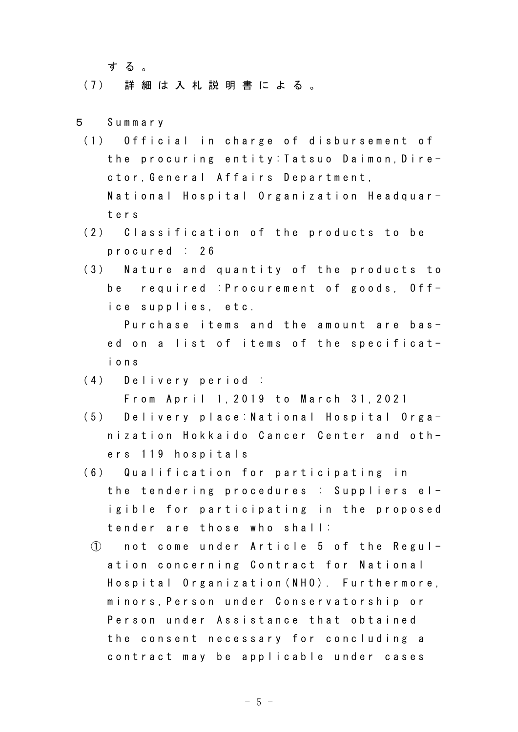す る 。

( 7 ) 詳 細 は 入 札 説 明 書 に よ る 。

- 5 S u m m a r y
- (1) Official in charge of disbursement of the procuring entity: Tatsuo Daimon, Director, General Affairs Department, National Hospital Organization Headquart e r s
- (2) Classification of the products to be p r o c u r e d : 2 6
- (3) Nature and quantity of the products to be required : Procurement of goods, Office supplies, etc.

Purchase items and the amount are based on a list of items of the specificati o n s

- (4) Delivery period : From April 1, 2019 to March 31, 2021
- (5) Delivery place: National Hospital Organization Hokkaido Cancer Center and others 119 hospitals
- (6) Qualification for participating in the tendering procedures : Suppliers elig ible for participating in the proposed tender are those who shall:
	- ① n o t c o m e u n d e r A r t i c l e 5 o f t h e R e g u l ation concerning Contract for National Hospital Organization (NHO). Furthermore, minors, Person under Conservatorship or Person under Assistance that obtained the consent necessary for concluding a contract may be applicable under cases